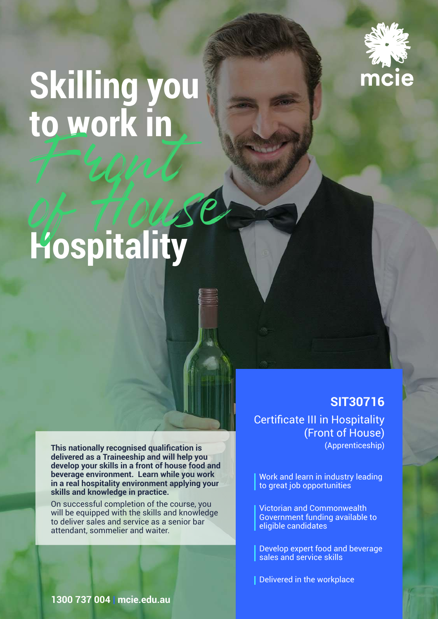

# **Skilling you to work in**  Front

# **Hospitality** of House

**This nationally recognised qualification is delivered as a Traineeship and will help you develop your skills in a front of house food and beverage environment. Learn while you work in a real hospitality environment applying your skills and knowledge in practice.**

On successful completion of the course, you will be equipped with the skills and knowledge to deliver sales and service as a senior bar attendant, sommelier and waiter.

**SIT30716** Certificate III in Hospitality (Front of House) (Apprenticeship)

Work and learn in industry leading to great job opportunities

Victorian and Commonwealth Government funding available to eligible candidates

Develop expert food and beverage sales and service skills

Delivered in the workplace

**1300 737 004 | mcie.edu.au**